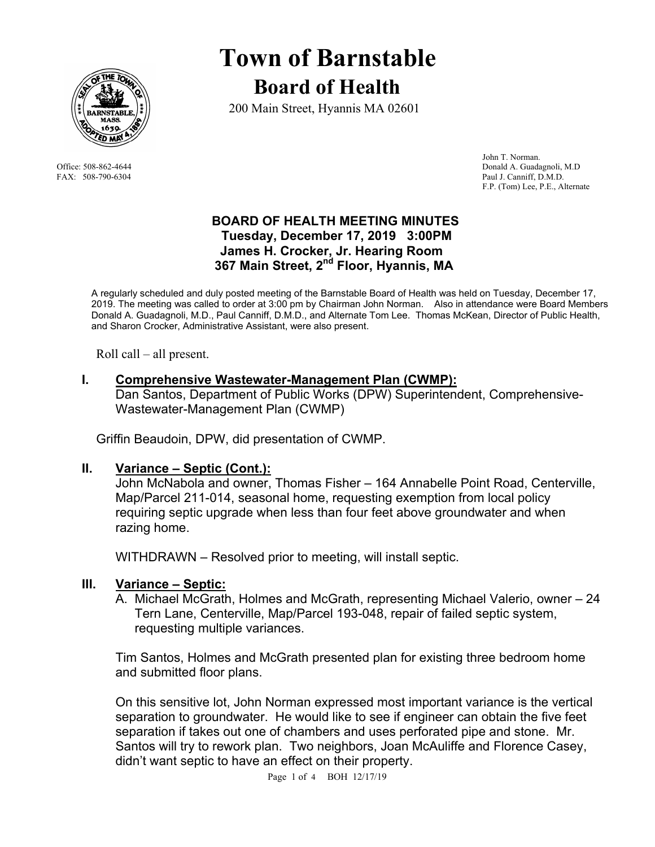

# **Town of Barnstable Board of Health**

200 Main Street, Hyannis MA 02601

 John T. Norman. Office: 508-862-4644 Donald A. Guadagnoli, M.D FAX: 508-790-6304 Paul J. Canniff, D.M.D. F.P. (Tom) Lee, P.E., Alternate

## **BOARD OF HEALTH MEETING MINUTES Tuesday, December 17, 2019 3:00PM James H. Crocker, Jr. Hearing Room**  367 Main Street, 2<sup>nd</sup> Floor, Hyannis, MA

A regularly scheduled and duly posted meeting of the Barnstable Board of Health was held on Tuesday, December 17, 2019. The meeting was called to order at 3:00 pm by Chairman John Norman. Also in attendance were Board Members Donald A. Guadagnoli, M.D., Paul Canniff, D.M.D., and Alternate Tom Lee. Thomas McKean, Director of Public Health, and Sharon Crocker, Administrative Assistant, were also present.

Roll call – all present.

# **I. Comprehensive Wastewater-Management Plan (CWMP):**

Dan Santos, Department of Public Works (DPW) Superintendent, Comprehensive-Wastewater-Management Plan (CWMP)

Griffin Beaudoin, DPW, did presentation of CWMP.

## **II. Variance – Septic (Cont.):**

John McNabola and owner, Thomas Fisher – 164 Annabelle Point Road, Centerville, Map/Parcel 211-014, seasonal home, requesting exemption from local policy requiring septic upgrade when less than four feet above groundwater and when razing home.

WITHDRAWN – Resolved prior to meeting, will install septic.

## **III. Variance – Septic:**

A. Michael McGrath, Holmes and McGrath, representing Michael Valerio, owner – 24 Tern Lane, Centerville, Map/Parcel 193-048, repair of failed septic system, requesting multiple variances.

Tim Santos, Holmes and McGrath presented plan for existing three bedroom home and submitted floor plans.

On this sensitive lot, John Norman expressed most important variance is the vertical separation to groundwater. He would like to see if engineer can obtain the five feet separation if takes out one of chambers and uses perforated pipe and stone. Mr. Santos will try to rework plan. Two neighbors, Joan McAuliffe and Florence Casey, didn't want septic to have an effect on their property.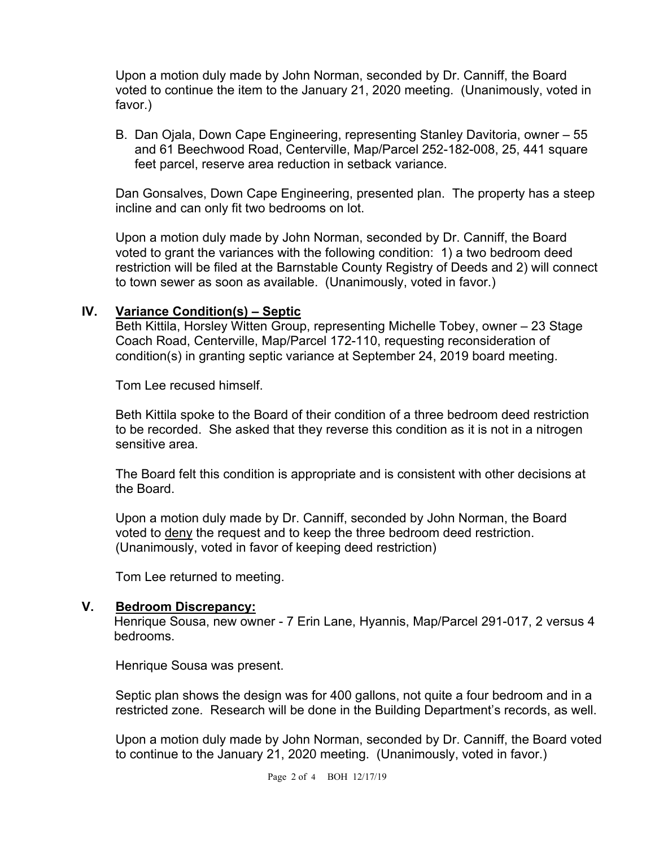Upon a motion duly made by John Norman, seconded by Dr. Canniff, the Board voted to continue the item to the January 21, 2020 meeting. (Unanimously, voted in favor.)

B. Dan Ojala, Down Cape Engineering, representing Stanley Davitoria, owner – 55 and 61 Beechwood Road, Centerville, Map/Parcel 252-182-008, 25, 441 square feet parcel, reserve area reduction in setback variance.

Dan Gonsalves, Down Cape Engineering, presented plan. The property has a steep incline and can only fit two bedrooms on lot.

Upon a motion duly made by John Norman, seconded by Dr. Canniff, the Board voted to grant the variances with the following condition: 1) a two bedroom deed restriction will be filed at the Barnstable County Registry of Deeds and 2) will connect to town sewer as soon as available. (Unanimously, voted in favor.)

#### **IV. Variance Condition(s) – Septic**

Beth Kittila, Horsley Witten Group, representing Michelle Tobey, owner – 23 Stage Coach Road, Centerville, Map/Parcel 172-110, requesting reconsideration of condition(s) in granting septic variance at September 24, 2019 board meeting.

Tom Lee recused himself.

Beth Kittila spoke to the Board of their condition of a three bedroom deed restriction to be recorded. She asked that they reverse this condition as it is not in a nitrogen sensitive area.

The Board felt this condition is appropriate and is consistent with other decisions at the Board.

Upon a motion duly made by Dr. Canniff, seconded by John Norman, the Board voted to deny the request and to keep the three bedroom deed restriction. (Unanimously, voted in favor of keeping deed restriction)

Tom Lee returned to meeting.

#### **V. Bedroom Discrepancy:**

 Henrique Sousa, new owner - 7 Erin Lane, Hyannis, Map/Parcel 291-017, 2 versus 4 bedrooms.

Henrique Sousa was present.

Septic plan shows the design was for 400 gallons, not quite a four bedroom and in a restricted zone. Research will be done in the Building Department's records, as well.

Upon a motion duly made by John Norman, seconded by Dr. Canniff, the Board voted to continue to the January 21, 2020 meeting. (Unanimously, voted in favor.)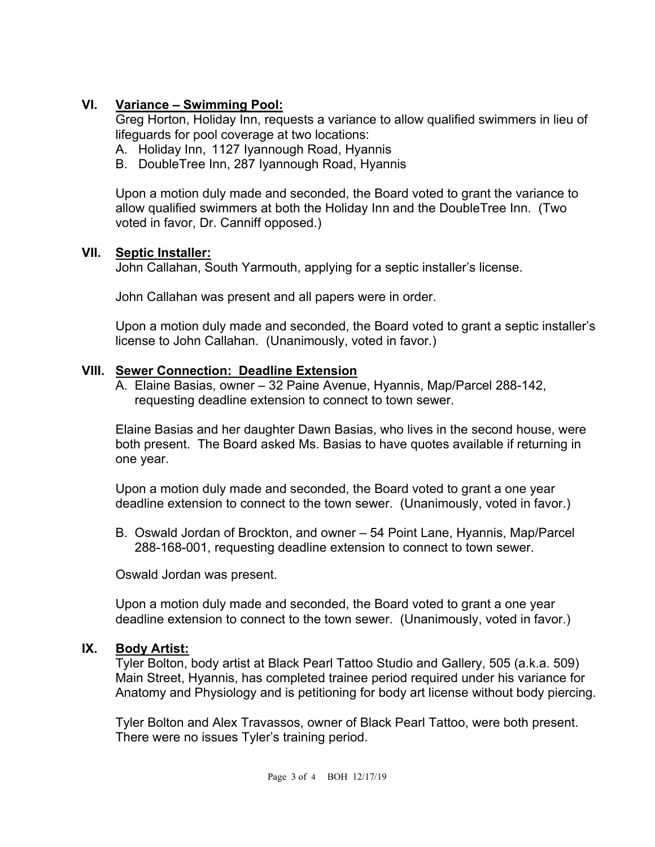# **VI. Variance – Swimming Pool:**

Greg Horton, Holiday Inn, requests a variance to allow qualified swimmers in lieu of lifeguards for pool coverage at two locations:

- A. Holiday Inn, 1127 Iyannough Road, Hyannis
- B. DoubleTree Inn, 287 Iyannough Road, Hyannis

Upon a motion duly made and seconded, the Board voted to grant the variance to allow qualified swimmers at both the Holiday Inn and the DoubleTree Inn. (Two voted in favor, Dr. Canniff opposed.)

# **VII. Septic Installer:**

John Callahan, South Yarmouth, applying for a septic installer's license.

John Callahan was present and all papers were in order.

Upon a motion duly made and seconded, the Board voted to grant a septic installer's license to John Callahan. (Unanimously, voted in favor.)

# **VIII. Sewer Connection: Deadline Extension**

A. Elaine Basias, owner – 32 Paine Avenue, Hyannis, Map/Parcel 288-142, requesting deadline extension to connect to town sewer.

Elaine Basias and her daughter Dawn Basias, who lives in the second house, were both present. The Board asked Ms. Basias to have quotes available if returning in one year.

Upon a motion duly made and seconded, the Board voted to grant a one year deadline extension to connect to the town sewer. (Unanimously, voted in favor.)

B. Oswald Jordan of Brockton, and owner – 54 Point Lane, Hyannis, Map/Parcel 288-168-001, requesting deadline extension to connect to town sewer.

Oswald Jordan was present.

Upon a motion duly made and seconded, the Board voted to grant a one year deadline extension to connect to the town sewer. (Unanimously, voted in favor.)

# **IX. Body Artist:**

Tyler Bolton, body artist at Black Pearl Tattoo Studio and Gallery, 505 (a.k.a. 509) Main Street, Hyannis, has completed trainee period required under his variance for Anatomy and Physiology and is petitioning for body art license without body piercing.

Tyler Bolton and Alex Travassos, owner of Black Pearl Tattoo, were both present. There were no issues Tyler's training period.